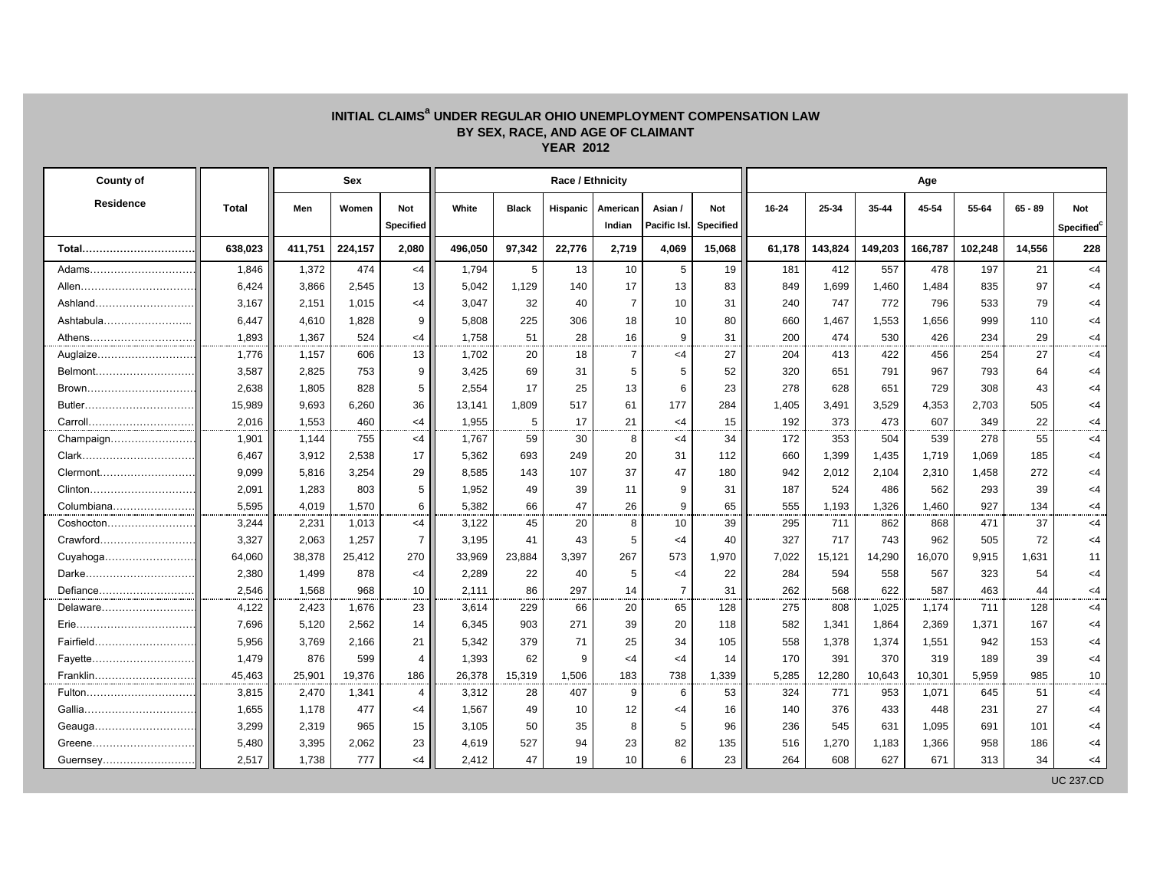## **INITIAL CLAIMS<sup>a</sup> UNDER REGULAR OHIO UNEMPLOYMENT COMPENSATION LAW BY SEX, RACE, AND AGE OF CLAIMANT YEAR 2012**

| County of  |         |         | <b>Sex</b> |                  |         | Age          |          |                |                |           |        |         |         |         |         |           |                        |
|------------|---------|---------|------------|------------------|---------|--------------|----------|----------------|----------------|-----------|--------|---------|---------|---------|---------|-----------|------------------------|
| Residence  | Total   | Men     | Women      | Not              | White   | <b>Black</b> | Hispanic | American       | Asian /        | Not       | 16-24  | 25-34   | 35-44   | 45-54   | 55-64   | $65 - 89$ | Not                    |
|            |         |         |            | <b>Specified</b> |         |              |          | Indian         | Pacific Isl.   | Specified |        |         |         |         |         |           | Specified <sup>c</sup> |
| Total      | 638,023 | 411,751 | 224,157    | 2,080            | 496,050 | 97,342       | 22,776   | 2,719          | 4,069          | 15,068    | 61,178 | 143,824 | 149,203 | 166,787 | 102,248 | 14,556    | 228                    |
| Adams      | 1,846   | 1,372   | 474        | $<$ 4            | 1,794   | 5            | 13       | 10             | 5              | 19        | 181    | 412     | 557     | 478     | 197     | 21        | <4                     |
| Allen      | 6,424   | 3,866   | 2,545      | 13               | 5,042   | 1,129        | 140      | 17             | 13             | 83        | 849    | 1,699   | 1,460   | 1,484   | 835     | 97        | $<$ 4                  |
| Ashland    | 3,167   | 2,151   | 1,015      | $<$ 4            | 3,047   | 32           | 40       | $\overline{7}$ | 10             | 31        | 240    | 747     | 772     | 796     | 533     | 79        | $<$ 4                  |
| Ashtabula  | 6,447   | 4,610   | 1,828      | 9                | 5,808   | 225          | 306      | 18             | 10             | 80        | 660    | 1,467   | 1,553   | 1,656   | 999     | 110       | <4                     |
| Athens     | 1,893   | 1,367   | 524        | $<$ 4            | 1.758   | 51           | 28       | 16             | 9              | 31        | 200    | 474     | 530     | 426     | 234     | 29        | $<$ 4                  |
| Auglaize   | 1,776   | 1,157   | 606        | 13               | 1,702   | 20           | 18       | $\overline{7}$ | $<$ 4          | 27        | 204    | 413     | 422     | 456     | 254     | 27        | $<$ 4                  |
|            | 3,587   | 2,825   | 753        | 9                | 3,425   | 69           | 31       | 5              | 5              | 52        | 320    | 651     | 791     | 967     | 793     | 64        | $<$ 4                  |
| Brown      | 2,638   | 1,805   | 828        | 5                | 2,554   | 17           | 25       | 13             | 6              | 23        | 278    | 628     | 651     | 729     | 308     | 43        | <4                     |
| Butler     | 15,989  | 9,693   | 6,260      | 36               | 13,141  | 1,809        | 517      | 61             | 177            | 284       | 1,405  | 3,491   | 3,529   | 4,353   | 2,703   | 505       | <4                     |
| Carroll    | 2.016   | 1,553   | 460        | $<$ 4            | 1.955   | 5            | 17       | 21             | $<$ 4          | 15        | 192    | 373     | 473     | 607     | 349     | 22        | <4                     |
| Champaign  | 1,901   | 1,144   | 755        | $<$ 4            | 1,767   | 59           | 30       | 8              | $<$ 4          | 34        | 172    | 353     | 504     | 539     | 278     | 55        | $<$ 4                  |
|            | 6,467   | 3,912   | 2,538      | 17               | 5,362   | 693          | 249      | 20             | 31             | 112       | 660    | 1,399   | 1,435   | 1,719   | 1,069   | 185       | <4                     |
|            | 9,099   | 5,816   | 3,254      | 29               | 8,585   | 143          | 107      | 37             | 47             | 180       | 942    | 2,012   | 2,104   | 2,310   | 1,458   | 272       | <4                     |
| Clinton    | 2,091   | 1,283   | 803        | 5                | 1,952   | 49           | 39       | 11             | 9              | 31        | 187    | 524     | 486     | 562     | 293     | 39        | $<$ 4                  |
| Columbiana | 5,595   | 4,019   | 1,570      | 6                | 5,382   | 66           | 47       | 26             | 9              | 65        | 555    | 1,193   | 1,326   | 1,460   | 927     | 134       | <4                     |
| Coshocton  | 3,244   | 2,231   | 1,013      | $<$ 4            | 3,122   | 45           | 20       | 8              | 10             | 39        | 295    | 711     | 862     | 868     | 471     | 37        | $<$ 4                  |
| Crawford   | 3,327   | 2,063   | 1,257      | $\overline{7}$   | 3,195   | 41           | 43       | 5              | $\leq$ 4       | 40        | 327    | 717     | 743     | 962     | 505     | 72        | <4                     |
| Cuyahoga   | 64,060  | 38,378  | 25,412     | 270              | 33,969  | 23,884       | 3,397    | 267            | 573            | 1,970     | 7,022  | 15,121  | 14,290  | 16,070  | 9,915   | 1,631     | 11                     |
| Darke      | 2,380   | 1,499   | 878        | $<$ 4            | 2,289   | 22           | 40       | 5              | $<$ 4          | 22        | 284    | 594     | 558     | 567     | 323     | 54        | $<$ 4                  |
| Defiance   | 2,546   | 1,568   | 968        | 10               | 2,111   | 86           | 297      | 14             | $\overline{7}$ | 31        | 262    | 568     | 622     | 587     | 463     | 44        | <4                     |
| Delaware   | 4,122   | 2,423   | 1,676      | 23               | 3,614   | 229          | 66       | 20             | 65             | 128       | 275    | 808     | 1,025   | 1,174   | 711     | 128       | <4                     |
| Erie       | 7,696   | 5,120   | 2,562      | 14               | 6,345   | 903          | 271      | 39             | 20             | 118       | 582    | 1,341   | 1,864   | 2,369   | 1,371   | 167       | $<$ 4                  |
| Fairfield  | 5,956   | 3,769   | 2,166      | 21               | 5,342   | 379          | 71       | 25             | 34             | 105       | 558    | 1,378   | 1,374   | 1,551   | 942     | 153       | $<$ 4                  |
|            | 1,479   | 876     | 599        | 4                | 1,393   | 62           | g        | $\leq$ 4       | $<$ 4          | 14        | 170    | 391     | 370     | 319     | 189     | 39        | $<$ 4                  |
| Franklin   | 45,463  | 25,901  | 19,376     | 186              | 26,378  | 15,319       | 1,506    | 183            | 738            | 1,339     | 5,285  | 12,280  | 10,643  | 10,301  | 5,959   | 985       | 10                     |
| Fulton     | 3,815   | 2,470   | 1,341      | $\overline{4}$   | 3,312   | 28           | 407      | 9              | 6              | 53        | 324    | 771     | 953     | 1,071   | 645     | 51        | $<$ 4                  |
| Gallia     | 1,655   | 1,178   | 477        | $<$ 4            | 1,567   | 49           | 10       | 12             | $\leq 4$       | 16        | 140    | 376     | 433     | 448     | 231     | 27        | $<$ 4                  |
| Geauga     | 3,299   | 2,319   | 965        | 15               | 3,105   | 50           | 35       | 8              | 5              | 96        | 236    | 545     | 631     | 1,095   | 691     | 101       | <4                     |
| Greene     | 5,480   | 3,395   | 2,062      | 23               | 4,619   | 527          | 94       | 23             | 82             | 135       | 516    | 1,270   | 1,183   | 1,366   | 958     | 186       | <4                     |
| Guernsey   | 2.517   | 1,738   | 777        | $<$ 4            | 2.412   | 47           | 19       | 10             | 6              | 23        | 264    | 608     | 627     | 671     | 313     | 34        | <4                     |

UC 237.CD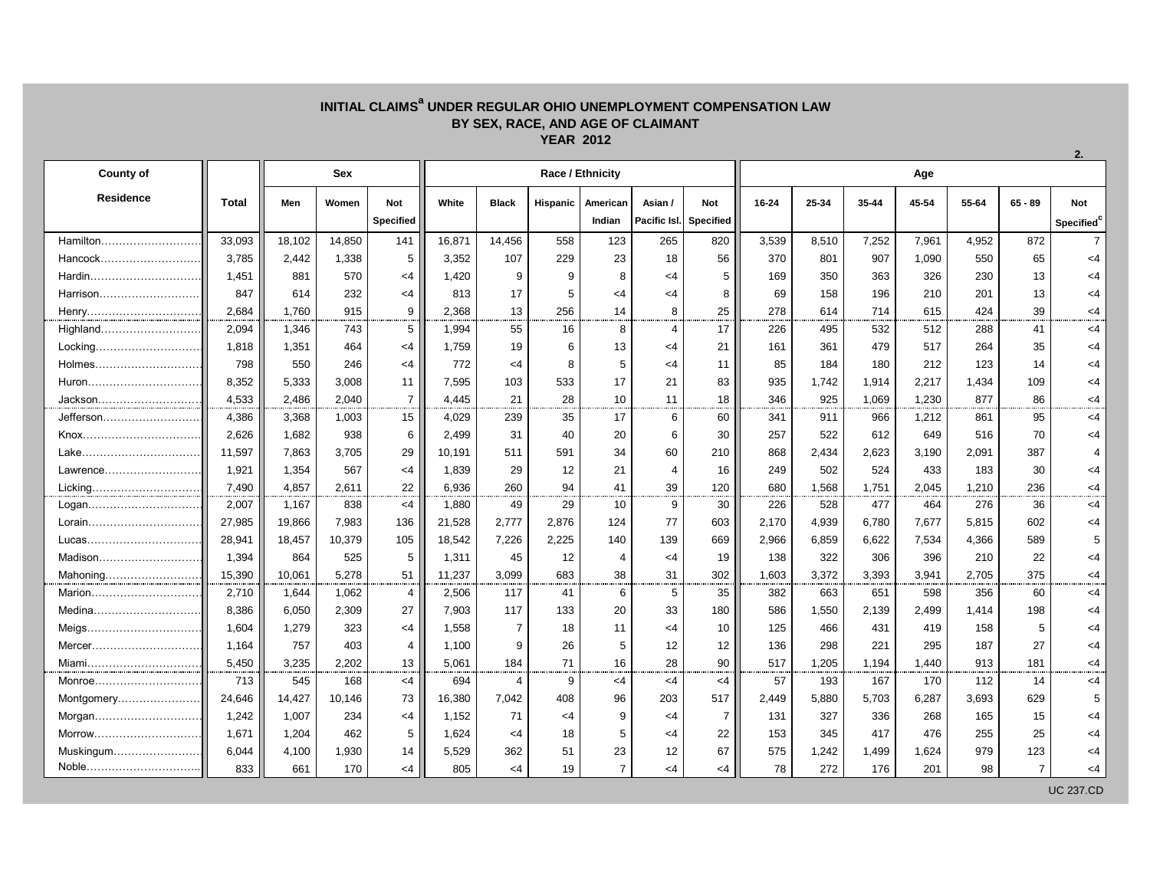## **INITIAL CLAIMS<sup>a</sup> UNDER REGULAR OHIO UNEMPLOYMENT COMPENSATION LAW BY SEX, RACE, AND AGE OF CLAIMANT YEAR 2012**

| <b>County of</b> |              | <b>Sex</b> |        |                  | Race / Ethnicity |                |                 |                |                |                  |           | Age   |       |       |       |                |                        |  |  |
|------------------|--------------|------------|--------|------------------|------------------|----------------|-----------------|----------------|----------------|------------------|-----------|-------|-------|-------|-------|----------------|------------------------|--|--|
| <b>Residence</b> | <b>Total</b> | Men        | Women  | Not              | White            | <b>Black</b>   | <b>Hispanic</b> | American       | Asian /        | Not              | $16 - 24$ | 25-34 | 35-44 | 45-54 | 55-64 | $65 - 89$      | <b>Not</b>             |  |  |
|                  |              |            |        | <b>Specified</b> |                  |                |                 | Indian         | Pacific Isl.   | <b>Specified</b> |           |       |       |       |       |                | Specified <sup>c</sup> |  |  |
| Hamilton         | 33,093       | 18,102     | 14,850 | 141              | 16,871           | 14,456         | 558             | 123            | 265            | 820              | 3,539     | 8,510 | 7,252 | 7,961 | 4,952 | 872            | 7 <sup>1</sup>         |  |  |
| Hancock          | 3,785        | 2,442      | 1,338  | 5                | 3,352            | 107            | 229             | 23             | 18             | 56               | 370       | 801   | 907   | 1,090 | 550   | 65             | <4                     |  |  |
| Hardin           | 1,451        | 881        | 570    | <4               | 1,420            | 9              | 9               | 8              | $<$ 4          | 5                | 169       | 350   | 363   | 326   | 230   | 13             | $<$ 4                  |  |  |
| Harrison         | 847          | 614        | 232    | <4               | 813              | 17             | 5               | $<$ 4          | $<$ 4          | 8                | 69        | 158   | 196   | 210   | 201   | 13             | $<$ 4                  |  |  |
| Henry            | 2,684        | 1,760      | 915    | 9                | 2,368            | 13             | 256             | 14             | 8              | 25               | 278       | 614   | 714   | 615   | 424   | 39             | <4                     |  |  |
| Highland         | 2,094        | 1,346      | 743    | 5                | 1,994            | 55             | 16              | 8              | $\overline{4}$ | 17               | 226       | 495   | 532   | 512   | 288   | 41             | $<$ 4                  |  |  |
| Locking          | 1,818        | 1,351      | 464    | $<$ 4            | 1,759            | 19             | 6               | 13             | $<$ 4          | 21               | 161       | 361   | 479   | 517   | 264   | 35             | $<$ 4                  |  |  |
|                  | 798          | 550        | 246    | $<$ 4            | 772              | $<$ 4          | 8               | 5              | <4             | 11               | 85        | 184   | 180   | 212   | 123   | 14             | $<$ 4                  |  |  |
|                  | 8,352        | 5,333      | 3,008  | 11               | 7,595            | 103            | 533             | 17             | 21             | 83               | 935       | 1,742 | 1,914 | 2,217 | 1,434 | 109            | $<$ 4                  |  |  |
| Jackson          | 4,533        | 2,486      | 2,040  | $\overline{7}$   | 4,445            | 21             | 28              | 10             | 11             | 18               | 346       | 925   | 1,069 | 1,230 | 877   | 86             | $<$ 4                  |  |  |
| Jefferson        | 4,386        | 3,368      | 1,003  | 15               | 4,029            | 239            | 35              | 17             | 6              | 60               | 341       | 911   | 966   | 1,212 | 861   | 95             | $<$ 4                  |  |  |
| Knox             | 2,626        | 1,682      | 938    | 6                | 2,499            | 31             | 40              | 20             | 6              | 30               | 257       | 522   | 612   | 649   | 516   | 70             | $<$ 4                  |  |  |
| Lake             | 11,597       | 7.863      | 3,705  | 29               | 10,191           | 511            | 591             | 34             | 60             | 210              | 868       | 2,434 | 2,623 | 3,190 | 2,091 | 387            | 4                      |  |  |
| Lawrence         | 1,921        | 1,354      | 567    | $<$ 4            | 1,839            | 29             | 12              | 21             | $\overline{4}$ | 16               | 249       | 502   | 524   | 433   | 183   | 30             | $<$ 4                  |  |  |
| Licking          | 7,490        | 4,857      | 2.611  | 22               | 6,936            | 260            | 94              | 41             | 39             | 120              | 680       | 1,568 | 1,751 | 2,045 | 1,210 | 236            | $<$ 4                  |  |  |
| Logan            | 2,007        | 1,167      | 838    | $<$ 4            | 1,880            | 49             | 29              | 10             | 9              | 30               | 226       | 528   | 477   | 464   | 276   | 36             | $<$ 4                  |  |  |
| Lorain           | 27,985       | 19,866     | 7,983  | 136              | 21,528           | 2,777          | 2,876           | 124            | 77             | 603              | 2,170     | 4,939 | 6,780 | 7,677 | 5,815 | 602            | <4                     |  |  |
| Lucas            | 28,941       | 18,457     | 10,379 | 105              | 18,542           | 7,226          | 2,225           | 140            | 139            | 669              | 2,966     | 6,859 | 6,622 | 7,534 | 4,366 | 589            | 5                      |  |  |
| Madison          | 1,394        | 864        | 525    | 5                | 1,311            | 45             | 12              | 4              | <4             | 19               | 138       | 322   | 306   | 396   | 210   | 22             | $<$ 4                  |  |  |
| Mahoning         | 15,390       | 10.061     | 5.278  | 51               | 11,237           | 3,099          | 683             | 38             | 31             | 302              | 1,603     | 3,372 | 3,393 | 3,941 | 2.705 | 375            | $<$ 4                  |  |  |
| Marion           | 2,710        | 1,644      | 1,062  | 4                | 2,506            | 117            | 41              | 6              | 5              | 35               | 382       | 663   | 651   | 598   | 356   | 60             | <4                     |  |  |
|                  | 8.386        | 6,050      | 2,309  | 27               | 7.903            | 117            | 133             | 20             | 33             | 180              | 586       | 1,550 | 2,139 | 2,499 | 1.414 | 198            | <4                     |  |  |
|                  | 1,604        | 1,279      | 323    | $<$ 4            | 1,558            | $\overline{7}$ | 18              | 11             | $<$ 4          | 10               | 125       | 466   | 431   | 419   | 158   | 5              | <4                     |  |  |
|                  | 1,164        | 757        | 403    | 4                | 1,100            | 9              | 26              | 5              | 12             | 12               | 136       | 298   | 221   | 295   | 187   | 27             | $<$ 4                  |  |  |
| Miami            | 5,450        | 3,235      | 2,202  | 13               | 5,061            | 184            | 71              | 16             | 28             | 90               | 517       | 1,205 | 1,194 | 1,440 | 913   | 181            | $<$ 4                  |  |  |
| Monroe           | 713          | 545        | 168    | $<$ 4            | 694              | $\overline{4}$ | 9               | $<$ 4          | <4             | <4               | 57        | 193   | 167   | 170   | 112   | 14             | $<$ 4                  |  |  |
| Montgomery       | 24,646       | 14,427     | 10,146 | 73               | 16,380           | 7,042          | 408             | 96             | 203            | 517              | 2,449     | 5,880 | 5,703 | 6,287 | 3,693 | 629            | 5                      |  |  |
| Morgan           | 1,242        | 1,007      | 234    | $<$ 4            | 1,152            | 71             | $<$ 4           | 9              | <4             | $\overline{7}$   | 131       | 327   | 336   | 268   | 165   | 15             | $<$ 4                  |  |  |
| Morrow           | 1,671        | 1,204      | 462    | 5                | 1,624            | $\leq 4$       | 18              | 5              | $<$ 4          | 22               | 153       | 345   | 417   | 476   | 255   | 25             | $<$ 4                  |  |  |
| Muskingum        | 6,044        | 4,100      | 1,930  | 14               | 5,529            | 362            | 51              | 23             | 12             | 67               | 575       | 1,242 | 1,499 | 1,624 | 979   | 123            | $<$ 4                  |  |  |
| Noble            | 833          | 661        | 170    | $<$ 4            | 805              | $<$ 4          | 19              | $\overline{7}$ | $<$ 4          | <4               | 78        | 272   | 176   | 201   | 98    | $\overline{7}$ | $<$ 4                  |  |  |
|                  |              |            |        |                  |                  |                |                 |                |                |                  |           |       |       |       |       |                | <b>UC 237.CD</b>       |  |  |

**2.**